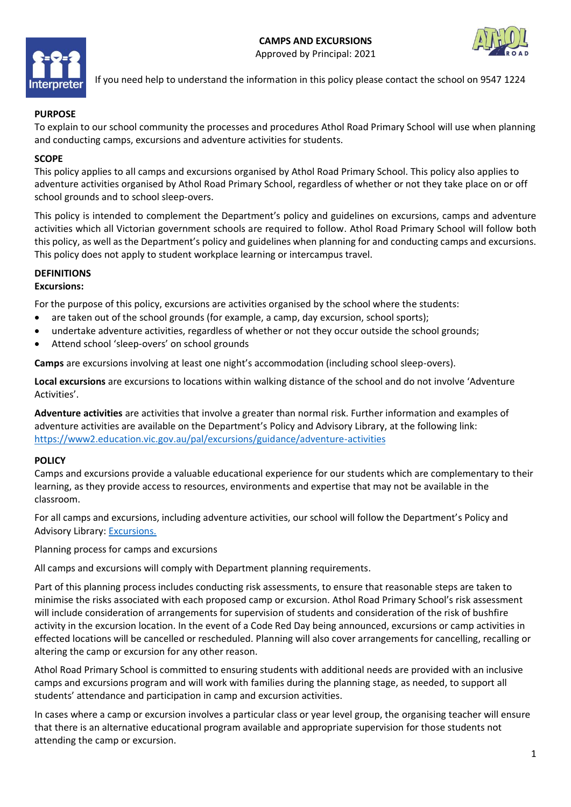



If you need help to understand the information in this policy please contact the school on 9547 1224

### **PURPOSE**

To explain to our school community the processes and procedures Athol Road Primary School will use when planning and conducting camps, excursions and adventure activities for students.

### **SCOPE**

This policy applies to all camps and excursions organised by Athol Road Primary School. This policy also applies to adventure activities organised by Athol Road Primary School, regardless of whether or not they take place on or off school grounds and to school sleep-overs.

This policy is intended to complement the Department's policy and guidelines on excursions, camps and adventure activities which all Victorian government schools are required to follow. Athol Road Primary School will follow both this policy, as well as the Department's policy and guidelines when planning for and conducting camps and excursions. This policy does not apply to student workplace learning or intercampus travel.

### **DEFINITIONS**

#### **Excursions:**

For the purpose of this policy, excursions are activities organised by the school where the students:

- are taken out of the school grounds (for example, a camp, day excursion, school sports);
- undertake adventure activities, regardless of whether or not they occur outside the school grounds;
- Attend school 'sleep-overs' on school grounds

**Camps** are excursions involving at least one night's accommodation (including school sleep-overs).

**Local excursions** are excursions to locations within walking distance of the school and do not involve 'Adventure Activities'.

**Adventure activities** are activities that involve a greater than normal risk. Further information and examples of adventure activities are available on the Department's Policy and Advisory Library, at the following link: <https://www2.education.vic.gov.au/pal/excursions/guidance/adventure-activities>

#### **POLICY**

Camps and excursions provide a valuable educational experience for our students which are complementary to their learning, as they provide access to resources, environments and expertise that may not be available in the classroom.

For all camps and excursions, including adventure activities, our school will follow the Department's Policy and Advisory Library: [Excursions.](https://www2.education.vic.gov.au/pal/excursions/policy)

Planning process for camps and excursions

All camps and excursions will comply with Department planning requirements.

Part of this planning process includes conducting risk assessments, to ensure that reasonable steps are taken to minimise the risks associated with each proposed camp or excursion. Athol Road Primary School's risk assessment will include consideration of arrangements for supervision of students and consideration of the risk of bushfire activity in the excursion location. In the event of a Code Red Day being announced, excursions or camp activities in effected locations will be cancelled or rescheduled. Planning will also cover arrangements for cancelling, recalling or altering the camp or excursion for any other reason.

Athol Road Primary School is committed to ensuring students with additional needs are provided with an inclusive camps and excursions program and will work with families during the planning stage, as needed, to support all students' attendance and participation in camp and excursion activities.

In cases where a camp or excursion involves a particular class or year level group, the organising teacher will ensure that there is an alternative educational program available and appropriate supervision for those students not attending the camp or excursion.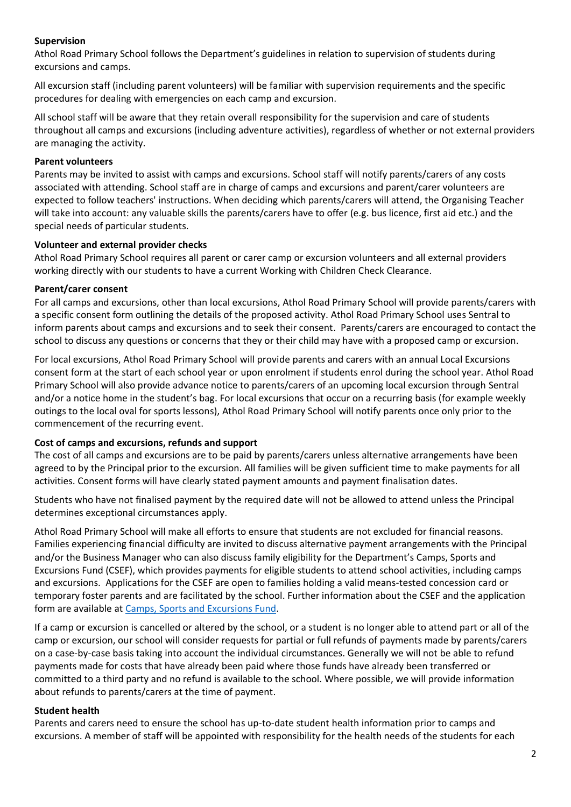## **Supervision**

Athol Road Primary School follows the Department's guidelines in relation to supervision of students during excursions and camps.

All excursion staff (including parent volunteers) will be familiar with supervision requirements and the specific procedures for dealing with emergencies on each camp and excursion.

All school staff will be aware that they retain overall responsibility for the supervision and care of students throughout all camps and excursions (including adventure activities), regardless of whether or not external providers are managing the activity.

#### **Parent volunteers**

Parents may be invited to assist with camps and excursions. School staff will notify parents/carers of any costs associated with attending. School staff are in charge of camps and excursions and parent/carer volunteers are expected to follow teachers' instructions. When deciding which parents/carers will attend, the Organising Teacher will take into account: any valuable skills the parents/carers have to offer (e.g. bus licence, first aid etc.) and the special needs of particular students.

### **Volunteer and external provider checks**

Athol Road Primary School requires all parent or carer camp or excursion volunteers and all external providers working directly with our students to have a current Working with Children Check Clearance.

### **Parent/carer consent**

For all camps and excursions, other than local excursions, Athol Road Primary School will provide parents/carers with a specific consent form outlining the details of the proposed activity. Athol Road Primary School uses Sentral to inform parents about camps and excursions and to seek their consent. Parents/carers are encouraged to contact the school to discuss any questions or concerns that they or their child may have with a proposed camp or excursion.

For local excursions, Athol Road Primary School will provide parents and carers with an annual Local Excursions consent form at the start of each school year or upon enrolment if students enrol during the school year. Athol Road Primary School will also provide advance notice to parents/carers of an upcoming local excursion through Sentral and/or a notice home in the student's bag. For local excursions that occur on a recurring basis (for example weekly outings to the local oval for sports lessons), Athol Road Primary School will notify parents once only prior to the commencement of the recurring event.

## **Cost of camps and excursions, refunds and support**

The cost of all camps and excursions are to be paid by parents/carers unless alternative arrangements have been agreed to by the Principal prior to the excursion. All families will be given sufficient time to make payments for all activities. Consent forms will have clearly stated payment amounts and payment finalisation dates.

Students who have not finalised payment by the required date will not be allowed to attend unless the Principal determines exceptional circumstances apply.

Athol Road Primary School will make all efforts to ensure that students are not excluded for financial reasons. Families experiencing financial difficulty are invited to discuss alternative payment arrangements with the Principal and/or the Business Manager who can also discuss family eligibility for the Department's Camps, Sports and Excursions Fund (CSEF), which provides payments for eligible students to attend school activities, including camps and excursions. Applications for the CSEF are open to families holding a valid means-tested concession card or temporary foster parents and are facilitated by the school. Further information about the CSEF and the application form are available at [Camps, Sports and Excursions Fund.](https://www2.education.vic.gov.au/pal/camps-sports-and-excursions-fund/policy)

If a camp or excursion is cancelled or altered by the school, or a student is no longer able to attend part or all of the camp or excursion, our school will consider requests for partial or full refunds of payments made by parents/carers on a case-by-case basis taking into account the individual circumstances. Generally we will not be able to refund payments made for costs that have already been paid where those funds have already been transferred or committed to a third party and no refund is available to the school. Where possible, we will provide information about refunds to parents/carers at the time of payment.

#### **Student health**

Parents and carers need to ensure the school has up-to-date student health information prior to camps and excursions. A member of staff will be appointed with responsibility for the health needs of the students for each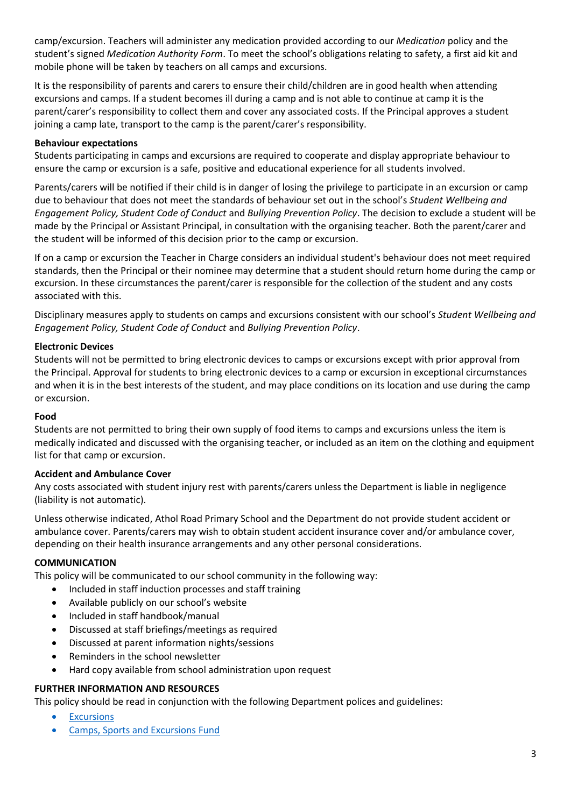camp/excursion. Teachers will administer any medication provided according to our *Medication* policy and the student's signed *Medication Authority Form*. To meet the school's obligations relating to safety, a first aid kit and mobile phone will be taken by teachers on all camps and excursions.

It is the responsibility of parents and carers to ensure their child/children are in good health when attending excursions and camps. If a student becomes ill during a camp and is not able to continue at camp it is the parent/carer's responsibility to collect them and cover any associated costs. If the Principal approves a student joining a camp late, transport to the camp is the parent/carer's responsibility.

# **Behaviour expectations**

Students participating in camps and excursions are required to cooperate and display appropriate behaviour to ensure the camp or excursion is a safe, positive and educational experience for all students involved.

Parents/carers will be notified if their child is in danger of losing the privilege to participate in an excursion or camp due to behaviour that does not meet the standards of behaviour set out in the school's *Student Wellbeing and Engagement Policy, Student Code of Conduct* and *Bullying Prevention Policy*. The decision to exclude a student will be made by the Principal or Assistant Principal, in consultation with the organising teacher. Both the parent/carer and the student will be informed of this decision prior to the camp or excursion.

If on a camp or excursion the Teacher in Charge considers an individual student's behaviour does not meet required standards, then the Principal or their nominee may determine that a student should return home during the camp or excursion. In these circumstances the parent/carer is responsible for the collection of the student and any costs associated with this.

Disciplinary measures apply to students on camps and excursions consistent with our school's *Student Wellbeing and Engagement Policy, Student Code of Conduct* and *Bullying Prevention Policy*.

# **Electronic Devices**

Students will not be permitted to bring electronic devices to camps or excursions except with prior approval from the Principal. Approval for students to bring electronic devices to a camp or excursion in exceptional circumstances and when it is in the best interests of the student, and may place conditions on its location and use during the camp or excursion.

## **Food**

Students are not permitted to bring their own supply of food items to camps and excursions unless the item is medically indicated and discussed with the organising teacher, or included as an item on the clothing and equipment list for that camp or excursion.

## **Accident and Ambulance Cover**

Any costs associated with student injury rest with parents/carers unless the Department is liable in negligence (liability is not automatic).

Unless otherwise indicated, Athol Road Primary School and the Department do not provide student accident or ambulance cover. Parents/carers may wish to obtain student accident insurance cover and/or ambulance cover, depending on their health insurance arrangements and any other personal considerations.

# **COMMUNICATION**

This policy will be communicated to our school community in the following way:

- Included in staff induction processes and staff training
- Available publicly on our school's website
- Included in staff handbook/manual
- Discussed at staff briefings/meetings as required
- Discussed at parent information nights/sessions
- Reminders in the school newsletter
- Hard copy available from school administration upon request

## **FURTHER INFORMATION AND RESOURCES**

This policy should be read in conjunction with the following Department polices and guidelines:

- [Excursions](https://www2.education.vic.gov.au/pal/excursions/policy)
- [Camps, Sports and Excursions Fund](https://www2.education.vic.gov.au/pal/camps-sports-and-excursions-fund/policy)